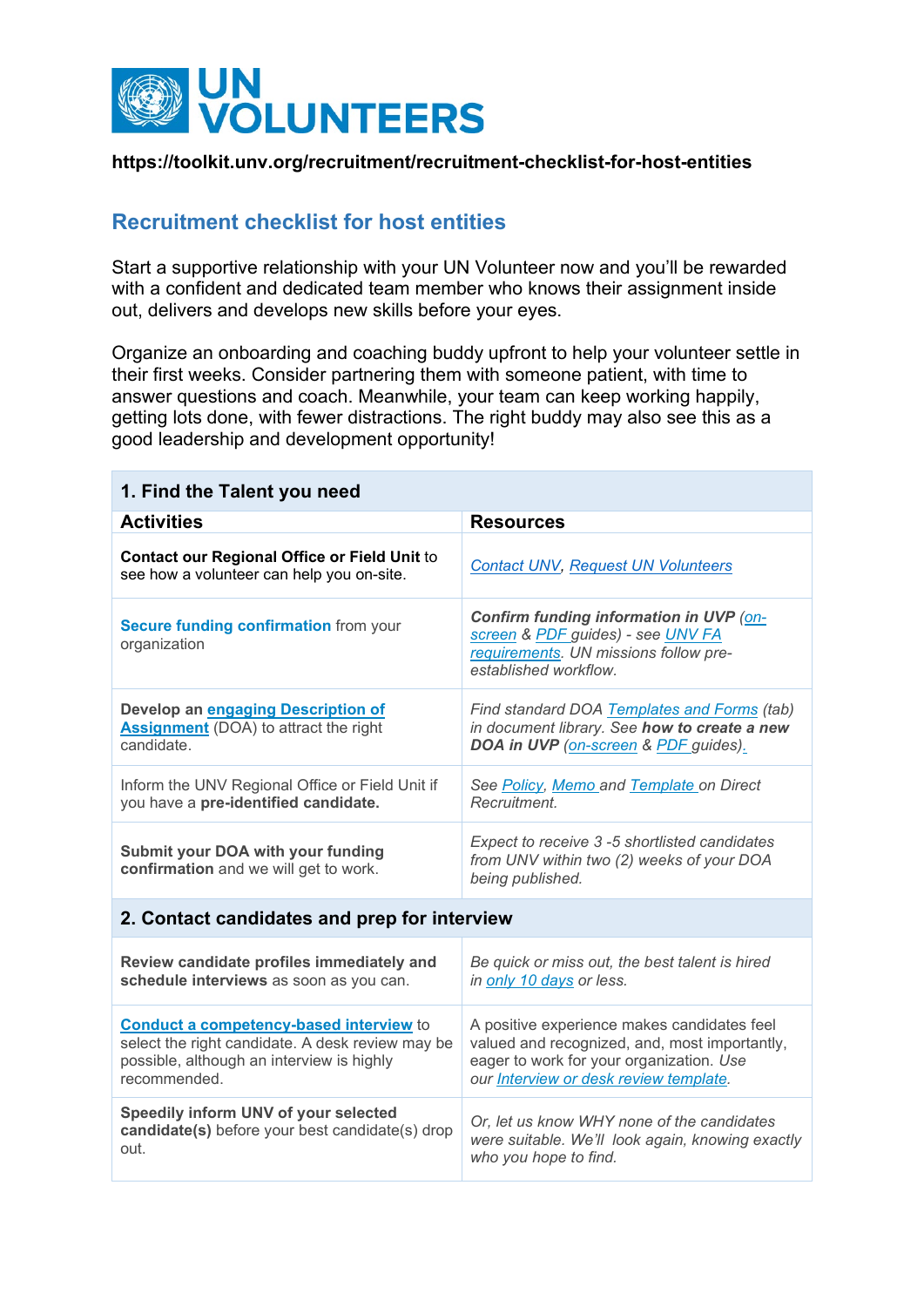

## **https://toolkit.unv.org/recruitment/recruitment-checklist-for-host-entities**

## **Recruitment checklist for host entities**

Start a supportive relationship with your UN Volunteer now and you'll be rewarded with a confident and dedicated team member who knows their assignment inside out, delivers and develops new skills before your eyes.

Organize an onboarding and coaching buddy upfront to help your volunteer settle in their first weeks. Consider partnering them with someone patient, with time to answer questions and coach. Meanwhile, your team can keep working happily, getting lots done, with fewer distractions. The right buddy may also see this as a good leadership and development opportunity!

| 1. Find the Talent you need                                                                                                                                     |                                                                                                                                                                                    |
|-----------------------------------------------------------------------------------------------------------------------------------------------------------------|------------------------------------------------------------------------------------------------------------------------------------------------------------------------------------|
| <b>Activities</b>                                                                                                                                               | <b>Resources</b>                                                                                                                                                                   |
| <b>Contact our Regional Office or Field Unit to</b><br>see how a volunteer can help you on-site.                                                                | <b>Contact UNV, Request UN Volunteers</b>                                                                                                                                          |
| <b>Secure funding confirmation from your</b><br>organization                                                                                                    | Confirm funding information in UVP (on-<br>screen & PDF guides) - see UNV FA<br>requirements. UN missions follow pre-<br>established workflow.                                     |
| Develop an engaging Description of<br><b>Assignment</b> (DOA) to attract the right<br>candidate.                                                                | Find standard DOA Templates and Forms (tab)<br>in document library. See how to create a new<br>DOA in UVP (on-screen & PDF guides).                                                |
| Inform the UNV Regional Office or Field Unit if<br>you have a pre-identified candidate.                                                                         | See Policy, Memo and Template on Direct<br>Recruitment.                                                                                                                            |
| Submit your DOA with your funding<br>confirmation and we will get to work.                                                                                      | Expect to receive 3 -5 shortlisted candidates<br>from UNV within two (2) weeks of your DOA<br>being published.                                                                     |
| 2. Contact candidates and prep for interview                                                                                                                    |                                                                                                                                                                                    |
| Review candidate profiles immediately and<br>schedule interviews as soon as you can.                                                                            | Be quick or miss out, the best talent is hired<br>in only 10 days or less.                                                                                                         |
| <b>Conduct a competency-based interview to</b><br>select the right candidate. A desk review may be<br>possible, although an interview is highly<br>recommended. | A positive experience makes candidates feel<br>valued and recognized, and, most importantly,<br>eager to work for your organization. Use<br>our Interview or desk review template. |
| Speedily inform UNV of your selected<br>candidate(s) before your best candidate(s) drop<br>out.                                                                 | Or, let us know WHY none of the candidates<br>were suitable. We'll look again, knowing exactly<br>who you hope to find.                                                            |